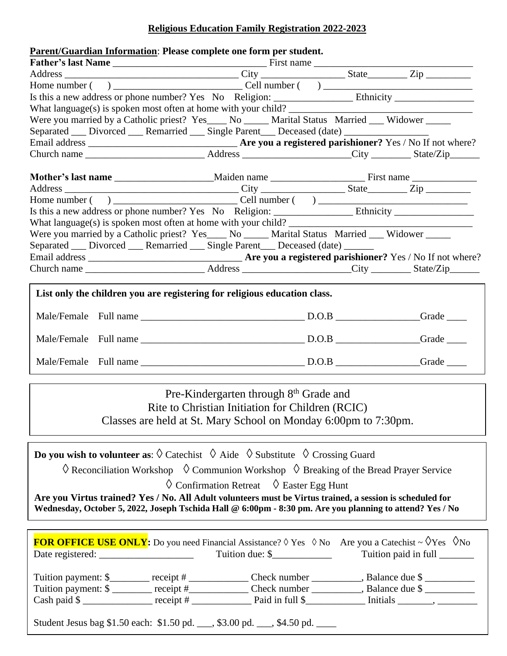## **Religious Education Family Registration 2022-2023**

| Parent/Guardian Information: Please complete one form per student.                               |  |                         |
|--------------------------------------------------------------------------------------------------|--|-------------------------|
|                                                                                                  |  |                         |
|                                                                                                  |  |                         |
|                                                                                                  |  |                         |
|                                                                                                  |  |                         |
|                                                                                                  |  |                         |
| Were you married by a Catholic priest? Yes____ No _____ Marital Status Married ___ Widower _____ |  |                         |
| Separated ___ Divorced ___ Remarried ___ Single Parent ___ Deceased (date) _________________     |  |                         |
|                                                                                                  |  |                         |
|                                                                                                  |  |                         |
|                                                                                                  |  |                         |
|                                                                                                  |  |                         |
|                                                                                                  |  |                         |
|                                                                                                  |  |                         |
|                                                                                                  |  |                         |
| Were you married by a Catholic priest? Yes____ No _____ Marital Status Married ___ Widower _____ |  |                         |
| Separated __ Divorced __ Remarried __ Single Parent __ Deceased (date) _____                     |  |                         |
|                                                                                                  |  |                         |
|                                                                                                  |  |                         |
| List only the children you are registering for religious education class.                        |  |                         |
|                                                                                                  |  | $Grade$ <sub>____</sub> |

Pre-Kindergarten through 8<sup>th</sup> Grade and Rite to Christian Initiation for Children (RCIC) Classes are held at St. Mary School on Monday 6:00pm to 7:30pm.

**Do you wish to volunteer as:**  $\Diamond$  Catechist  $\Diamond$  Aide  $\Diamond$  Substitute  $\Diamond$  Crossing Guard

 $\Diamond$  Reconciliation Workshop  $\Diamond$  Communion Workshop  $\Diamond$  Breaking of the Bread Prayer Service

 $\Diamond$  Confirmation Retreat  $\Diamond$  Easter Egg Hunt

**Are you Virtus trained? Yes / No. All Adult volunteers must be Virtus trained, a session is scheduled for Wednesday, October 5, 2022, Joseph Tschida Hall @ 6:00pm - 8:30 pm. Are you planning to attend? Yes / No**

|                                                  | Tuition due: $\frac{1}{2}$                                                     | <b>FOR OFFICE USE ONLY:</b> Do you need Financial Assistance? $\Diamond$ Yes $\Diamond$ No Are you a Catechist ~ $\Diamond$ Yes $\Diamond$ No<br>Tuition paid in full ________ |
|--------------------------------------------------|--------------------------------------------------------------------------------|--------------------------------------------------------------------------------------------------------------------------------------------------------------------------------|
| Tuition payment: \$ _______ receipt # __________ |                                                                                | Check number, Balance due \$<br>Check number _____________, Balance due \$                                                                                                     |
|                                                  | Student Jesus bag \$1.50 each: \$1.50 pd. ___, \$3.00 pd. ___, \$4.50 pd. ____ |                                                                                                                                                                                |